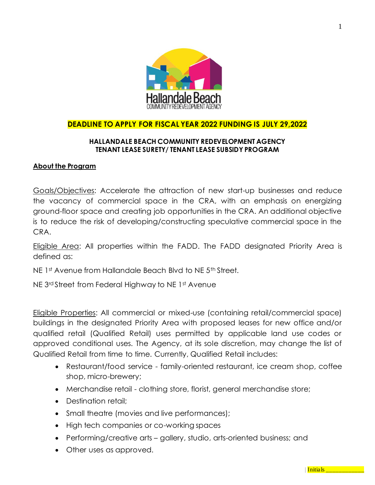

# **DEADLINE TO APPLY FOR FISCAL YEAR 2022 FUNDING IS JULY 29,2022**

## **HALLANDALE BEACH COMMUNITY REDEVELOPMENT AGENCY TENANT LEASE SURETY/ TENANT LEASE SUBSIDY PROGRAM**

## **About the Program**

Goals/Objectives: Accelerate the attraction of new start-up businesses and reduce the vacancy of commercial space in the CRA, with an emphasis on energizing ground-floor space and creating job opportunities in the CRA. An additional objective is to reduce the risk of developing/constructing speculative commercial space in the CRA.

Eligible Area: All properties within the FADD. The FADD designated Priority Area is defined as:

NE 1st Avenue from Hallandale Beach Blvd to NE 5th Street.

NE 3<sup>rd</sup> Street from Federal Highway to NE 1st Avenue

Eligible Properties: All commercial or mixed-use (containing retail/commercial space) buildings in the designated Priority Area with proposed leases for new office and/or qualified retail (Qualified Retail) uses permitted by applicable land use codes or approved conditional uses. The Agency, at its sole discretion, may change the list of Qualified Retail from time to time. Currently, Qualified Retail includes:

- Restaurant/food service family-oriented restaurant, ice cream shop, coffee shop, micro-brewery;
- Merchandise retail clothing store, florist, general merchandise store;
- Destination retail:
- Small theatre (movies and live performances);
- High tech companies or co-working spaces
- Performing/creative arts gallery, studio, arts-oriented business; and
- Other uses as approved.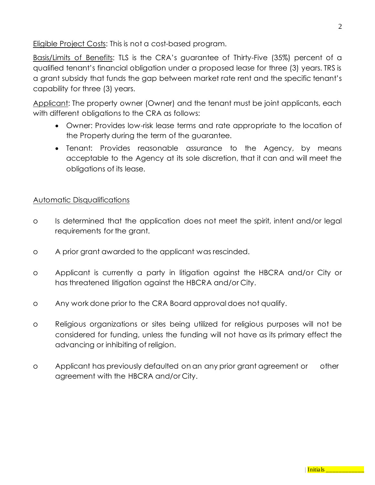Eligible Project Costs: This is not a cost-based program.

Basis/Limits of Benefits: TLS is the CRA's guarantee of Thirty-Five (35%) percent of a qualified tenant's financial obligation under a proposed lease for three (3) years. TRS is a grant subsidy that funds the gap between market rate rent and the specific tenant's capability for three (3) years.

Applicant: The property owner (Owner) and the tenant must be joint applicants, each with different obligations to the CRA as follows:

- Owner: Provides low-risk lease terms and rate appropriate to the location of the Property during the term of the guarantee.
- Tenant: Provides reasonable assurance to the Agency, by means acceptable to the Agency at its sole discretion, that it can and will meet the obligations of its lease.

# Automatic Disqualifications

- o Is determined that the application does not meet the spirit, intent and/or legal requirements for the grant.
- o A prior grant awarded to the applicant was rescinded.
- o Applicant is currently a party in litigation against the HBCRA and/or City or has threatened litigation against the HBCRA and/or City.
- o Any work done prior to the CRA Board approval does not qualify.
- o Religious organizations or sites being utilized for religious purposes will not be considered for funding, unless the funding will not have as its primary effect the advancing or inhibiting of religion.
- o Applicant has previously defaulted on an any prior grant agreement or other agreement with the HBCRA and/or City.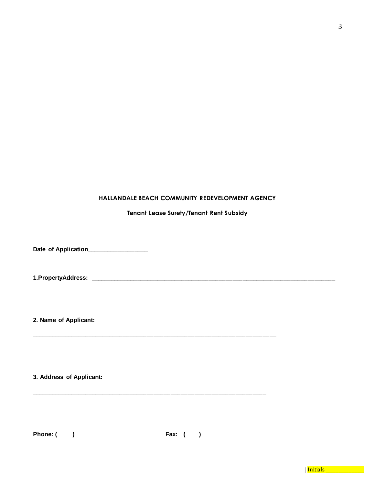#### **HALLANDALE BEACH COMMUNITY REDEVELOPMENT AGENCY**

## **Tenant Lease Surety/Tenant Rent Subsidy**

**Date of Application\_\_\_\_\_\_\_\_\_\_\_\_\_\_\_\_\_\_**

**1.PropertyAddress: \_\_\_\_\_\_\_\_\_\_\_\_\_\_\_\_\_\_\_\_\_\_\_\_\_\_\_\_\_\_\_\_\_\_\_\_\_\_\_\_\_\_\_\_\_\_\_\_\_\_\_\_\_\_\_\_\_\_\_\_\_\_\_\_\_\_\_\_\_\_\_\_**

**\_\_\_\_\_\_\_\_\_\_\_\_\_\_\_\_\_\_\_\_\_\_\_\_\_\_\_\_\_\_\_\_\_\_\_\_\_\_\_\_\_\_\_\_\_\_\_\_\_\_\_\_\_\_\_\_\_\_\_\_\_\_\_\_\_\_\_\_\_\_\_\_**

**\_\_\_\_\_\_\_\_\_\_\_\_\_\_\_\_\_\_\_\_\_\_\_\_\_\_\_\_\_\_\_\_\_\_\_\_\_\_\_\_\_\_\_\_\_\_\_\_\_\_\_\_\_\_\_\_\_\_\_\_\_\_\_\_\_\_\_\_\_**

**2. Name of Applicant:**

**3. Address of Applicant:**

**Phone: ( ) Fax: ( )**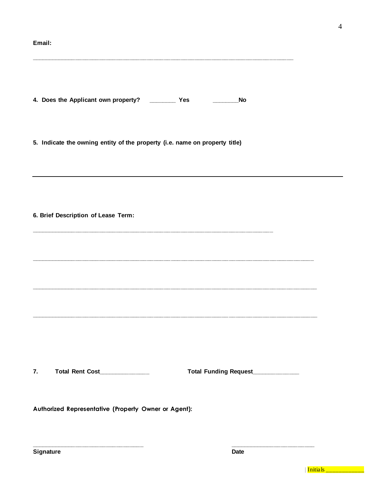#### Email:

4. Does the Applicant own property? \_\_\_\_\_\_\_\_\_\_\_ Yes \_\_\_\_\_\_\_\_\_\_\_\_\_\_\_\_\_No

5. Indicate the owning entity of the property (i.e. name on property title)

6. Brief Description of Lease Term:

Total Rent Cost\_\_\_\_\_\_\_\_\_\_\_\_\_  $\overline{7}$ .

Total Funding Request\_\_\_\_\_\_\_\_\_\_\_

Authorized Representative (Property Owner or Agent):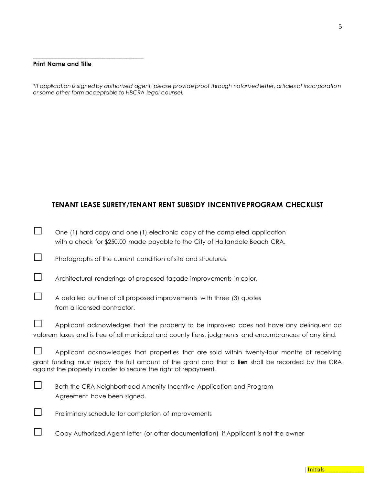#### **Print Name and Title**

**\_\_\_\_\_\_\_\_\_\_\_\_\_\_\_\_\_\_\_\_\_\_\_\_\_\_\_\_\_\_\_\_\_**

*\*If application is signed by authorized agent, please provide proof through notarized letter, articles of incorporation or some other form acceptable to HBCRA legal counsel.*

# **TENANT LEASE SURETY/TENANT RENT SUBSIDY INCENTIVE PROGRAM CHECKLIST**

|        | One (1) hard copy and one (1) electronic copy of the completed application                                                                                                                                                                                           |
|--------|----------------------------------------------------------------------------------------------------------------------------------------------------------------------------------------------------------------------------------------------------------------------|
|        | with a check for \$250.00 made payable to the City of Hallandale Beach CRA.                                                                                                                                                                                          |
| $\Box$ | Photographs of the current condition of site and structures.                                                                                                                                                                                                         |
|        | Architectural renderings of proposed façade improvements in color.                                                                                                                                                                                                   |
|        | A detailed outline of all proposed improvements with three (3) quotes<br>from a licensed contractor.                                                                                                                                                                 |
|        | Applicant acknowledges that the property to be improved does not have any delinquent ad<br>valorem taxes and is free of all municipal and county liens, judgments and encumbrances of any kind.                                                                      |
|        | Applicant acknowledges that properties that are sold within twenty-four months of receiving<br>grant funding must repay the full amount of the grant and that a lien shall be recorded by the CRA<br>against the property in order to secure the right of repayment. |
|        | Both the CRA Neighborhood Amenity Incentive Application and Program<br>Agreement have been signed.                                                                                                                                                                   |
|        | Preliminary schedule for completion of improvements                                                                                                                                                                                                                  |
|        | Copy Authorized Agent letter (or other documentation) if Applicant is not the owner                                                                                                                                                                                  |

|**Initials \_\_\_\_\_\_\_\_\_\_\_**